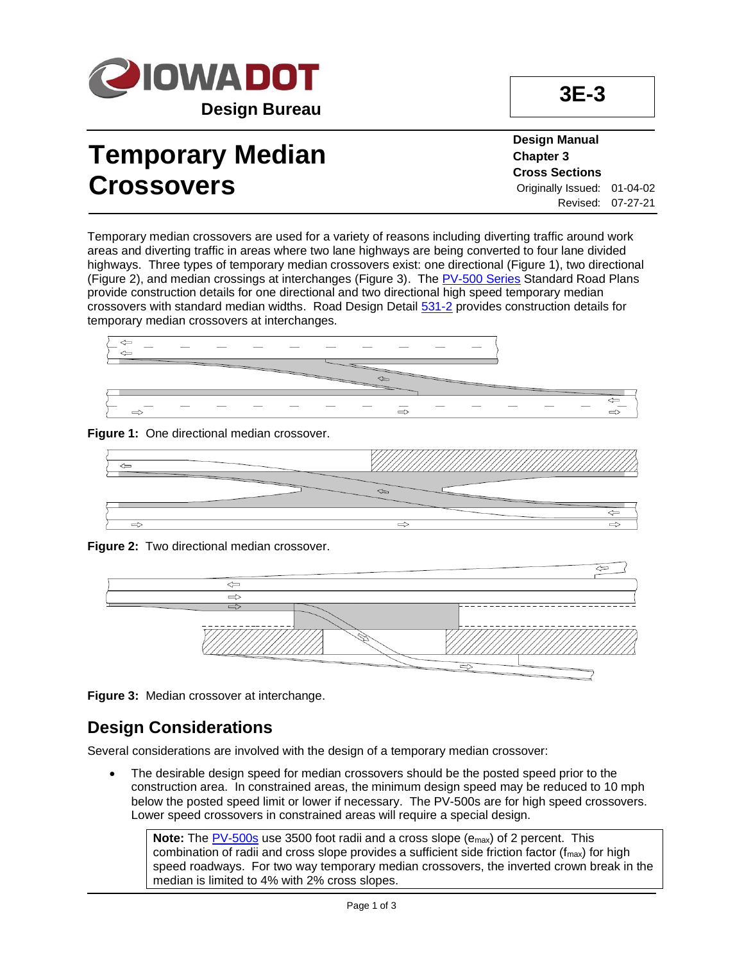

# **Temporary Median Crossovers**

**Design Manual Chapter 3 Cross Sections** Originally Issued: 01-04-02 Revised: 07-27-21

Temporary median crossovers are used for a variety of reasons including diverting traffic around work areas and diverting traffic in areas where two lane highways are being converted to four lane divided highways. Three types of temporary median crossovers exist: one directional (Figure 1), two directional (Figure 2), and median crossings at interchanges (Figure 3). The [PV-500 Series](../stdplne_pv) Standard Road Plans provide construction details for one directional and two directional high speed temporary median crossovers with standard median widths. Road Design Detai[l 531-2](../tnt/PDFsandWebFiles/IndividualPDFs/0531-02.pdf) provides construction details for temporary median crossovers at interchanges.













#### **Design Considerations**

Several considerations are involved with the design of a temporary median crossover:

• The desirable design speed for median crossovers should be the posted speed prior to the construction area. In constrained areas, the minimum design speed may be reduced to 10 mph below the posted speed limit or lower if necessary. The PV-500s are for high speed crossovers. Lower speed crossovers in constrained areas will require a special design.

**Note:** The **PV-500s** use 3500 foot radii and a cross slope (e<sub>max</sub>) of 2 percent. This combination of radii and cross slope provides a sufficient side friction factor ( $f_{\text{max}}$ ) for high speed roadways. For two way temporary median crossovers, the inverted crown break in the median is limited to 4% with 2% cross slopes.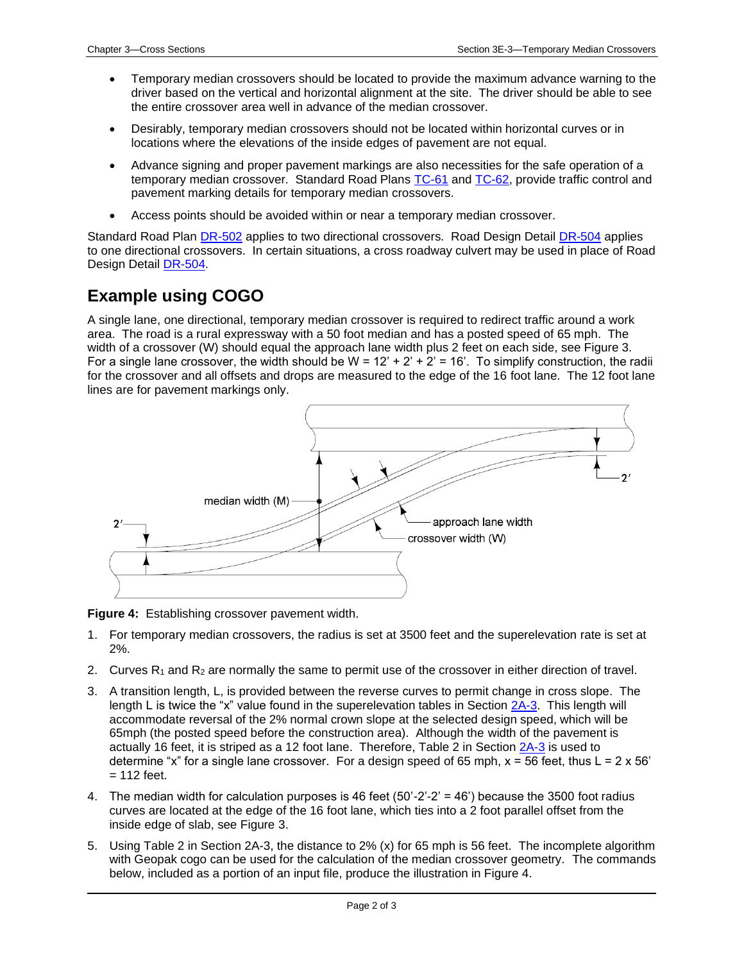- Temporary median crossovers should be located to provide the maximum advance warning to the driver based on the vertical and horizontal alignment at the site. The driver should be able to see the entire crossover area well in advance of the median crossover.
- Desirably, temporary median crossovers should not be located within horizontal curves or in locations where the elevations of the inside edges of pavement are not equal.
- Advance signing and proper pavement markings are also necessities for the safe operation of a temporary median crossover. Standard Road Plans [TC-61](../SRP/IndividualStandards/tc061.pdf) and [TC-62,](../SRP/IndividualStandards/tc062.pdf) provide traffic control and pavement marking details for temporary median crossovers.
- Access points should be avoided within or near a temporary median crossover.

Standard Road Plan [DR-502](../SRP/IndividualStandards/dr502.pdf) applies to two directional crossovers. Road Design Detail [DR-504](../SRP/IndividualStandards/dr504.pdf) applies to one directional crossovers. In certain situations, a cross roadway culvert may be used in place of Road Design Detail [DR-504.](../SRP/IndividualStandards/dr504.pdf)

#### **Example using COGO**

A single lane, one directional, temporary median crossover is required to redirect traffic around a work area. The road is a rural expressway with a 50 foot median and has a posted speed of 65 mph. The width of a crossover (W) should equal the approach lane width plus 2 feet on each side, see Figure 3. For a single lane crossover, the width should be  $W = 12' + 2' + 2' = 16'$ . To simplify construction, the radii for the crossover and all offsets and drops are measured to the edge of the 16 foot lane. The 12 foot lane lines are for pavement markings only.



**Figure 4:** Establishing crossover pavement width.

- 1. For temporary median crossovers, the radius is set at 3500 feet and the superelevation rate is set at 2%.
- 2. Curves  $R_1$  and  $R_2$  are normally the same to permit use of the crossover in either direction of travel.
- 3. A transition length, L, is provided between the reverse curves to permit change in cross slope. The length L is twice the "x" value found in the superelevation tables in Section [2A-3.](02A-03.pdf) This length will accommodate reversal of the 2% normal crown slope at the selected design speed, which will be 65mph (the posted speed before the construction area). Although the width of the pavement is actually 16 feet, it is striped as a 12 foot lane. Therefore, Table 2 in Section [2A-3](02A-03.pdf) is used to determine "x" for a single lane crossover. For a design speed of 65 mph,  $x = 56$  feet, thus L = 2 x 56'  $= 112$  feet.
- 4. The median width for calculation purposes is 46 feet (50'-2'-2' = 46') because the 3500 foot radius curves are located at the edge of the 16 foot lane, which ties into a 2 foot parallel offset from the inside edge of slab, see Figure 3.
- 5. Using Table 2 in Section 2A-3, the distance to 2% (x) for 65 mph is 56 feet. The incomplete algorithm with Geopak cogo can be used for the calculation of the median crossover geometry. The commands below, included as a portion of an input file, produce the illustration in Figure 4.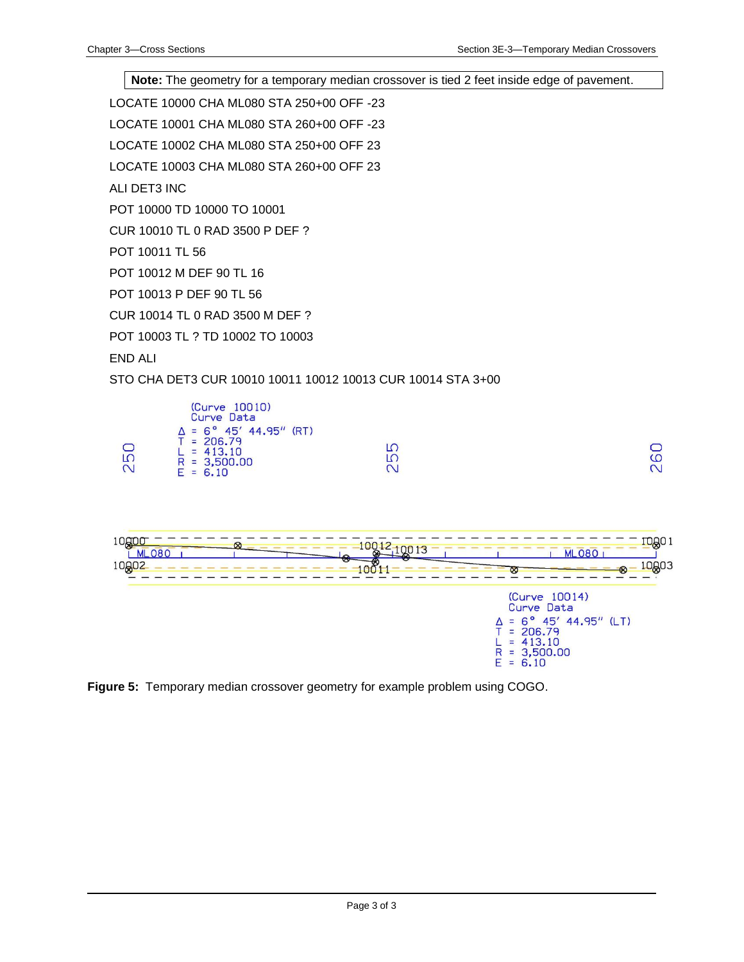**Note:** The geometry for a temporary median crossover is tied 2 feet inside edge of pavement.

LOCATE 10000 CHA ML080 STA 250+00 OFF -23

LOCATE 10001 CHA ML080 STA 260+00 OFF -23

LOCATE 10002 CHA ML080 STA 250+00 OFF 23

LOCATE 10003 CHA ML080 STA 260+00 OFF 23

ALI DET3 INC

POT 10000 TD 10000 TO 10001

CUR 10010 TL 0 RAD 3500 P DEF ?

POT 10011 TL 56

POT 10012 M DEF 90 TL 16

POT 10013 P DEF 90 TL 56

CUR 10014 TL 0 RAD 3500 M DEF ?

POT 10003 TL ? TD 10002 TO 10003

END ALI

STO CHA DET3 CUR 10010 10011 10012 10013 CUR 10014 STA 3+00





**Figure 5:** Temporary median crossover geometry for example problem using COGO.